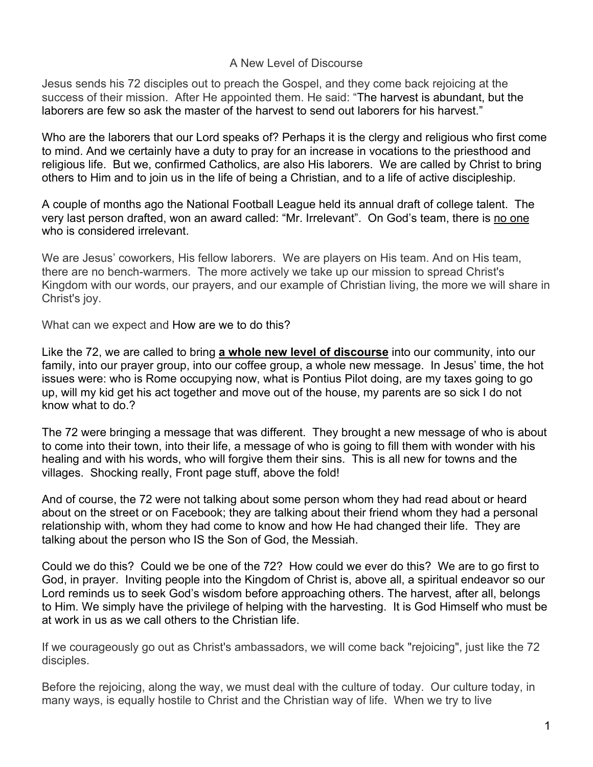## A New Level of Discourse

Jesus sends his 72 disciples out to preach the Gospel, and they come back rejoicing at the success of their mission. After He appointed them. He said: "The harvest is abundant, but the laborers are few so ask the master of the harvest to send out laborers for his harvest."

Who are the laborers that our Lord speaks of? Perhaps it is the clergy and religious who first come to mind. And we certainly have a duty to pray for an increase in vocations to the priesthood and religious life. But we, confirmed Catholics, are also His laborers. We are called by Christ to bring others to Him and to join us in the life of being a Christian, and to a life of active discipleship.

A couple of months ago the National Football League held its annual draft of college talent. The very last person drafted, won an award called: "Mr. Irrelevant". On God's team, there is no one who is considered irrelevant.

We are Jesus' coworkers, His fellow laborers. We are players on His team. And on His team, there are no bench-warmers. The more actively we take up our mission to spread Christ's Kingdom with our words, our prayers, and our example of Christian living, the more we will share in Christ's joy.

What can we expect and How are we to do this?

Like the 72, we are called to bring **a whole new level of discourse** into our community, into our family, into our prayer group, into our coffee group, a whole new message. In Jesus' time, the hot issues were: who is Rome occupying now, what is Pontius Pilot doing, are my taxes going to go up, will my kid get his act together and move out of the house, my parents are so sick I do not know what to do.?

The 72 were bringing a message that was different. They brought a new message of who is about to come into their town, into their life, a message of who is going to fill them with wonder with his healing and with his words, who will forgive them their sins. This is all new for towns and the villages. Shocking really, Front page stuff, above the fold!

And of course, the 72 were not talking about some person whom they had read about or heard about on the street or on Facebook; they are talking about their friend whom they had a personal relationship with, whom they had come to know and how He had changed their life. They are talking about the person who IS the Son of God, the Messiah.

Could we do this? Could we be one of the 72? How could we ever do this? We are to go first to God, in prayer. Inviting people into the Kingdom of Christ is, above all, a spiritual endeavor so our Lord reminds us to seek God's wisdom before approaching others. The harvest, after all, belongs to Him. We simply have the privilege of helping with the harvesting. It is God Himself who must be at work in us as we call others to the Christian life.

If we courageously go out as Christ's ambassadors, we will come back "rejoicing", just like the 72 disciples.

Before the rejoicing, along the way, we must deal with the culture of today. Our culture today, in many ways, is equally hostile to Christ and the Christian way of life. When we try to live